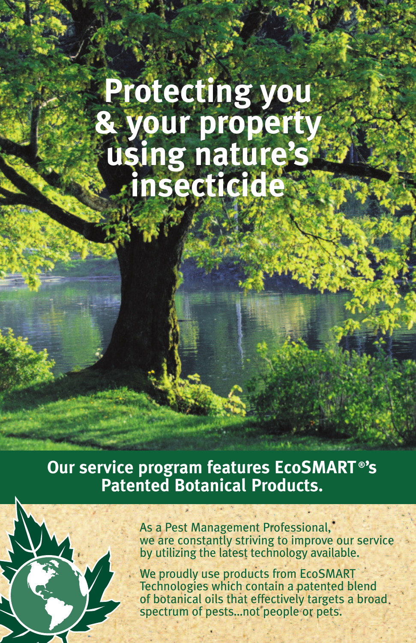# **Protecting you & your property using nature's insecticide**

## **Our service program features EcoSMART ®'s Patented Botanical Products.**



As a Pest Management Professional, we are constantly striving to improve our service by utilizing the latest technology available.

We proudly use products from EcoSMART Technologies which contain a patented blend of botanical oils that effectively targets a broad spectrum of pests…not people or pets.